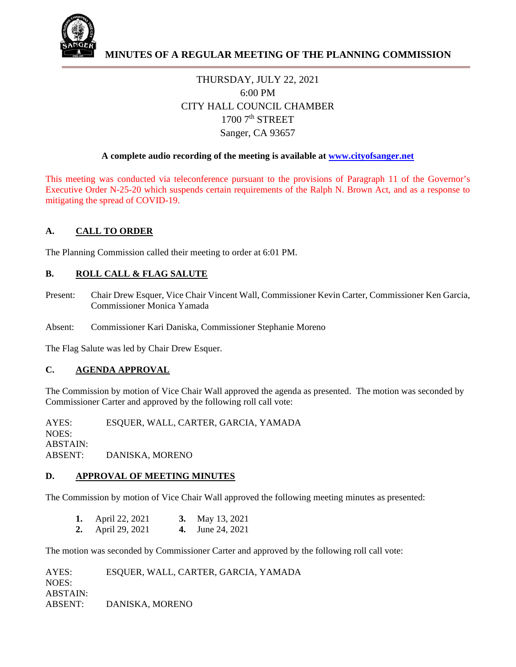

# THURSDAY, JULY 22, 2021 6:00 PM CITY HALL COUNCIL CHAMBER  $1700$   $7<sup>th</sup>$  STREET Sanger, CA 93657

#### **A complete audio recording of the meeting is available at www.cityofsanger.net**

This meeting was conducted via teleconference pursuant to the provisions of Paragraph 11 of the Governor's Executive Order N-25-20 which suspends certain requirements of the Ralph N. Brown Act, and as a response to mitigating the spread of COVID-19.

## **A. CALL TO ORDER**

The Planning Commission called their meeting to order at 6:01 PM.

## **B. ROLL CALL & FLAG SALUTE**

- Present: Chair Drew Esquer, Vice Chair Vincent Wall, Commissioner Kevin Carter, Commissioner Ken Garcia, Commissioner Monica Yamada
- Absent: Commissioner Kari Daniska, Commissioner Stephanie Moreno

The Flag Salute was led by Chair Drew Esquer.

#### **C. AGENDA APPROVAL**

The Commission by motion of Vice Chair Wall approved the agenda as presented. The motion was seconded by Commissioner Carter and approved by the following roll call vote:

AYES: ESQUER, WALL, CARTER, GARCIA, YAMADA NOES: ABSTAIN: ABSENT: DANISKA, MORENO

#### **D. APPROVAL OF MEETING MINUTES**

The Commission by motion of Vice Chair Wall approved the following meeting minutes as presented:

| April 22, 2021           | <b>3.</b> May 13, 2021  |
|--------------------------|-------------------------|
| <b>2.</b> April 29, 2021 | <b>4.</b> June 24, 2021 |

The motion was seconded by Commissioner Carter and approved by the following roll call vote:

AYES: ESQUER, WALL, CARTER, GARCIA, YAMADA NOES: ABSTAIN: ABSENT: DANISKA, MORENO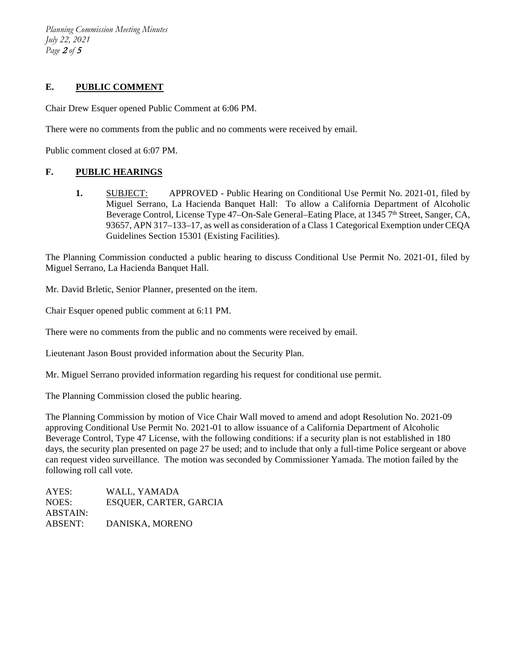*Planning Commission Meeting Minutes July 22, 2021 Page* <sup>2</sup> *of* <sup>5</sup>

## **E. PUBLIC COMMENT**

Chair Drew Esquer opened Public Comment at 6:06 PM.

There were no comments from the public and no comments were received by email.

Public comment closed at 6:07 PM.

#### **F. PUBLIC HEARINGS**

**1.** SUBJECT: APPROVED - Public Hearing on Conditional Use Permit No. 2021-01, filed by Miguel Serrano, La Hacienda Banquet Hall: To allow a California Department of Alcoholic Beverage Control, License Type 47–On-Sale General–Eating Place, at 1345 7<sup>th</sup> Street, Sanger, CA, 93657, APN 317–133–17, as well as consideration of a Class 1 Categorical Exemption under CEQA Guidelines Section 15301 (Existing Facilities).

The Planning Commission conducted a public hearing to discuss Conditional Use Permit No. 2021-01, filed by Miguel Serrano, La Hacienda Banquet Hall.

Mr. David Brletic, Senior Planner, presented on the item.

Chair Esquer opened public comment at 6:11 PM.

There were no comments from the public and no comments were received by email.

Lieutenant Jason Boust provided information about the Security Plan.

Mr. Miguel Serrano provided information regarding his request for conditional use permit.

The Planning Commission closed the public hearing.

The Planning Commission by motion of Vice Chair Wall moved to amend and adopt Resolution No. 2021-09 approving Conditional Use Permit No. 2021-01 to allow issuance of a California Department of Alcoholic Beverage Control, Type 47 License, with the following conditions: if a security plan is not established in 180 days, the security plan presented on page 27 be used; and to include that only a full-time Police sergeant or above can request video surveillance. The motion was seconded by Commissioner Yamada. The motion failed by the following roll call vote.

AYES: WALL, YAMADA NOES: ESQUER, CARTER, GARCIA ABSTAIN: ABSENT: DANISKA, MORENO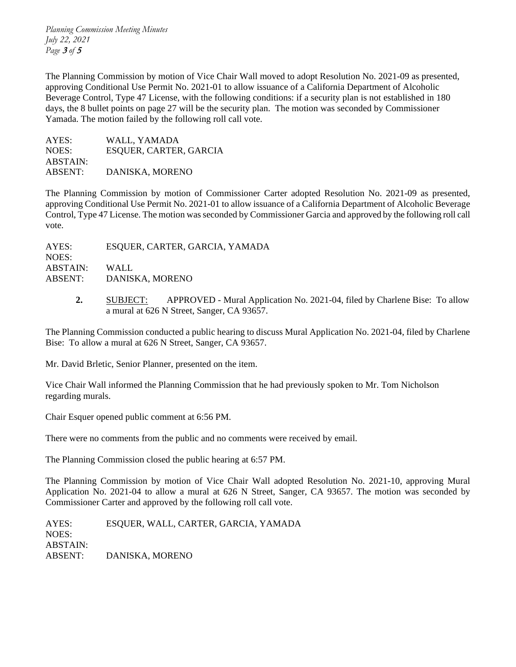*Planning Commission Meeting Minutes July 22, 2021 Page* <sup>3</sup> *of* <sup>5</sup>

The Planning Commission by motion of Vice Chair Wall moved to adopt Resolution No. 2021-09 as presented, approving Conditional Use Permit No. 2021-01 to allow issuance of a California Department of Alcoholic Beverage Control, Type 47 License, with the following conditions: if a security plan is not established in 180 days, the 8 bullet points on page 27 will be the security plan. The motion was seconded by Commissioner Yamada. The motion failed by the following roll call vote.

| AYES:    | WALL, YAMADA           |
|----------|------------------------|
| NOES:    | ESQUER, CARTER, GARCIA |
| ABSTAIN: |                        |
| ABSENT:  | DANISKA, MORENO        |

The Planning Commission by motion of Commissioner Carter adopted Resolution No. 2021-09 as presented, approving Conditional Use Permit No. 2021-01 to allow issuance of a California Department of Alcoholic Beverage Control, Type 47 License. The motion was seconded by Commissioner Garcia and approved by the following roll call vote.

AYES: ESQUER, CARTER, GARCIA, YAMADA NOES: ABSTAIN: WALL ABSENT: DANISKA, MORENO

> **2.** SUBJECT: APPROVED - Mural Application No. 2021-04, filed by Charlene Bise: To allow a mural at 626 N Street, Sanger, CA 93657.

The Planning Commission conducted a public hearing to discuss Mural Application No. 2021-04, filed by Charlene Bise: To allow a mural at 626 N Street, Sanger, CA 93657.

Mr. David Brletic, Senior Planner, presented on the item.

Vice Chair Wall informed the Planning Commission that he had previously spoken to Mr. Tom Nicholson regarding murals.

Chair Esquer opened public comment at 6:56 PM.

There were no comments from the public and no comments were received by email.

The Planning Commission closed the public hearing at 6:57 PM.

The Planning Commission by motion of Vice Chair Wall adopted Resolution No. 2021-10, approving Mural Application No. 2021-04 to allow a mural at 626 N Street, Sanger, CA 93657. The motion was seconded by Commissioner Carter and approved by the following roll call vote.

AYES: ESQUER, WALL, CARTER, GARCIA, YAMADA NOES: ABSTAIN: ABSENT: DANISKA, MORENO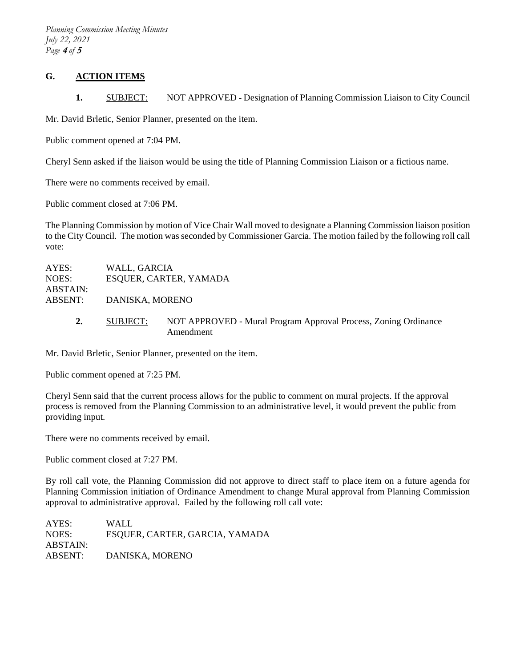*Planning Commission Meeting Minutes July 22, 2021 Page* <sup>4</sup> *of* <sup>5</sup>

#### **G. ACTION ITEMS**

1. SUBJECT: NOT APPROVED - Designation of Planning Commission Liaison to City Council

Mr. David Brletic, Senior Planner, presented on the item.

Public comment opened at 7:04 PM.

Cheryl Senn asked if the liaison would be using the title of Planning Commission Liaison or a fictious name.

There were no comments received by email.

Public comment closed at 7:06 PM.

The Planning Commission by motion of Vice Chair Wall moved to designate a Planning Commission liaison position to the City Council. The motion was seconded by Commissioner Garcia. The motion failed by the following roll call vote:

| AYES:             | WALL, GARCIA           |                                                                              |  |  |
|-------------------|------------------------|------------------------------------------------------------------------------|--|--|
| NOES:<br>ABSTAIN: | ESQUER, CARTER, YAMADA |                                                                              |  |  |
| ABSENT:           | DANISKA, MORENO        |                                                                              |  |  |
| 2.                | SUBJECT:               | NOT APPROVED - Mural Program Approval Process, Zoning Ordinance<br>Amendment |  |  |

Mr. David Brletic, Senior Planner, presented on the item.

Public comment opened at 7:25 PM.

Cheryl Senn said that the current process allows for the public to comment on mural projects. If the approval process is removed from the Planning Commission to an administrative level, it would prevent the public from providing input.

There were no comments received by email.

Public comment closed at 7:27 PM.

By roll call vote, the Planning Commission did not approve to direct staff to place item on a future agenda for Planning Commission initiation of Ordinance Amendment to change Mural approval from Planning Commission approval to administrative approval. Failed by the following roll call vote:

AYES: WALL NOES: ESQUER, CARTER, GARCIA, YAMADA ABSTAIN: ABSENT: DANISKA, MORENO